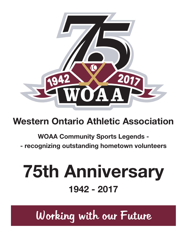

## **Western Ontario Athletic Association**

### **WOAA Community Sports Legends -**

**- recognizing outstanding hometown volunteers**

# **75th Anniversary 1942 - 2017**

Working with our Future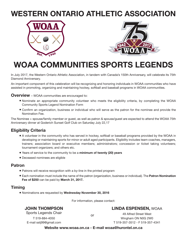### **WESTERN ONTARIO ATHLETIC ASSOCIATION**





### **WOAA COMMUNITIES SPORTS LEGENDS**

In July 2017, the Western Ontario Athletic Association, in tandem with Canada's 150th Anniversary, will celebrate its 75th Diamond Anniversary.

An important component of this celebration will be recognizing and honoring individuals in WOAA communities who have assisted in promoting, organizing and maintaining hockey, softball and baseball programs in WOAA communities.

**Overview** – WOAA communities are encouraged to:

- Nominate an appropriate community volunteer who meets the eligibility criteria, by completing the WOAA Community Sports Legend Nomination Form
- Confirm an organization, business or individual who will serve as the patron for the nominee and provide the Nomination Fee.

The Nominee + spouse/family member or guest, as well as patron & spouse/guest are expected to attend the WOAA 75th Anniversary dinner at Goderich Sunset Golf Club on Saturday July 22,17

#### **Eligibility Criteria**

- A volunteer in the community who has served in hockey, softball or baseball programs provided by the WOAA in developing or maintaining sports for minor or adult aged participants. Eligibility includes team coaches, managers, trainers; association board or executive members; administrators; concession or ticket taking volunteers; tournament organizers; and others etc.
- Years of service to the community to be a **minimum of twenty (20) years**
- Deceased nominees are eligible

#### **Patron**

- Patrons will receive recognition with a by-line in the printed program
- Each nomination must include the name of the patron (organization, business or individual). The **Patron Nomination Fee of \$250** can be paid by **March 31, 2017.**

#### **Timing**

• Nominations are requested by **Wednesday November 30, 2016**

For information, please contact:

or

#### **JOHN THOMPSON**

E-mail sstj99@gmail.com

**LINDA ESPENSEN,** WOAA

Sports Legends Chair T 519-884-4050

49 Alfred Street West Wingham ON N0G 2W0 T 519-357-3512 - F 519-357-4341

**Website www.woaa.on.ca - E-mail woaa@hurontel.on.ca**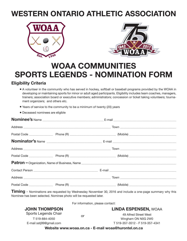### **WESTERN ONTARIO ATHLETIC ASSOCIATION**





### **WOAA COMMUNITIES SPORTS LEGENDS - NOMINATION FORM**

#### **Eligibility Criteria**

- A volunteer in the community who has served in hockey, softball or baseball programs provided by the WOAA in developing or maintaining sports for minor or adult aged participants. Eligibility includes team coaches, managers, trainers; association board or executive members; administrators; concession or ticket taking volunteers; tournament organizers; and others etc.
- Years of service to the community to be a minimum of twenty (20) years
- Deceased nominees are eligible

**Timing** - Nominations are requested by Wednesday November 30, 2016 and include a one-page summary why this Nominee has been selected. Nominee photo will be requested later.

For information, please contact:

or

| <b>LINDA ESPENSEN, WOAA</b> |
|-----------------------------|
|-----------------------------|

| Sports Legends Chair    |  |
|-------------------------|--|
| T 519-884-4050          |  |
| E-mail sstj99@gmail.com |  |

**JOHN THOMPSON**

49 Alfred Street West Wingham ON N0G 2W0

T 519-357-3512 - F 519-357-4341

**Website www.woaa.on.ca - E-mail woaa@hurontel.on.ca**